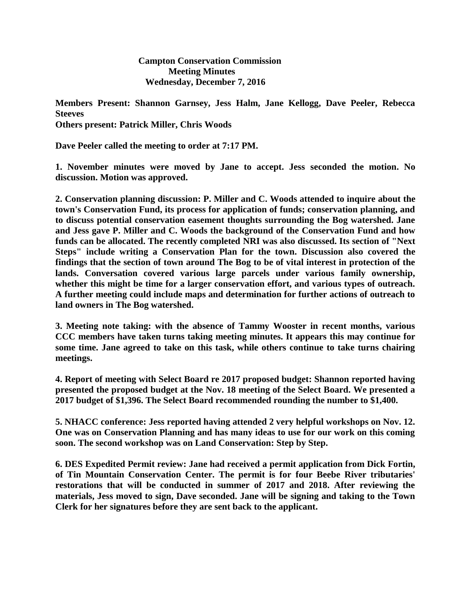**Campton Conservation Commission Meeting Minutes Wednesday, December 7, 2016**

**Members Present: Shannon Garnsey, Jess Halm, Jane Kellogg, Dave Peeler, Rebecca Steeves Others present: Patrick Miller, Chris Woods**

**Dave Peeler called the meeting to order at 7:17 PM.**

**1. November minutes were moved by Jane to accept. Jess seconded the motion. No discussion. Motion was approved.**

**2. Conservation planning discussion: P. Miller and C. Woods attended to inquire about the town's Conservation Fund, its process for application of funds; conservation planning, and to discuss potential conservation easement thoughts surrounding the Bog watershed. Jane and Jess gave P. Miller and C. Woods the background of the Conservation Fund and how funds can be allocated. The recently completed NRI was also discussed. Its section of "Next Steps" include writing a Conservation Plan for the town. Discussion also covered the findings that the section of town around The Bog to be of vital interest in protection of the lands. Conversation covered various large parcels under various family ownership, whether this might be time for a larger conservation effort, and various types of outreach. A further meeting could include maps and determination for further actions of outreach to land owners in The Bog watershed.**

**3. Meeting note taking: with the absence of Tammy Wooster in recent months, various CCC members have taken turns taking meeting minutes. It appears this may continue for some time. Jane agreed to take on this task, while others continue to take turns chairing meetings.**

**4. Report of meeting with Select Board re 2017 proposed budget: Shannon reported having presented the proposed budget at the Nov. 18 meeting of the Select Board. We presented a 2017 budget of \$1,396. The Select Board recommended rounding the number to \$1,400.**

**5. NHACC conference: Jess reported having attended 2 very helpful workshops on Nov. 12. One was on Conservation Planning and has many ideas to use for our work on this coming soon. The second workshop was on Land Conservation: Step by Step.** 

**6. DES Expedited Permit review: Jane had received a permit application from Dick Fortin, of Tin Mountain Conservation Center. The permit is for four Beebe River tributaries' restorations that will be conducted in summer of 2017 and 2018. After reviewing the materials, Jess moved to sign, Dave seconded. Jane will be signing and taking to the Town Clerk for her signatures before they are sent back to the applicant.**